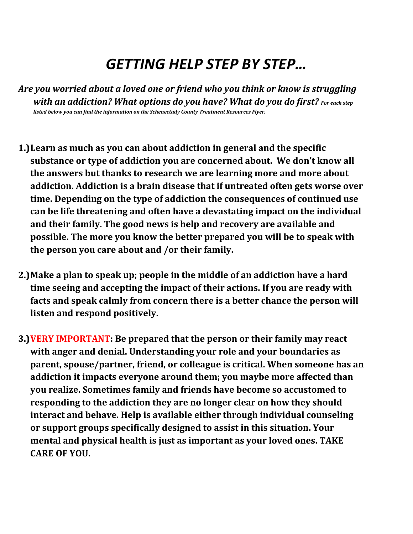## *GETTING HELP STEP BY STEP…*

*Are you worried about a loved one or friend who you think or know is struggling with an addiction? What options do you have? What do you do first? For each step listed below you can find the information on the Schenectady County Treatment Resources Flyer.*

- **1.)Learn as much as you can about addiction in general and the specific substance or type of addiction you are concerned about. We don't know all the answers but thanks to research we are learning more and more about addiction. Addiction is a brain disease that if untreated often gets worse over time. Depending on the type of addiction the consequences of continued use can be life threatening and often have a devastating impact on the individual and their family. The good news is help and recovery are available and possible. The more you know the better prepared you will be to speak with the person you care about and /or their family.**
- **2.)Make a plan to speak up; people in the middle of an addiction have a hard time seeing and accepting the impact of their actions. If you are ready with facts and speak calmly from concern there is a better chance the person will listen and respond positively.**
- **3.)VERY IMPORTANT: Be prepared that the person or their family may react with anger and denial. Understanding your role and your boundaries as parent, spouse/partner, friend, or colleague is critical. When someone has an addiction it impacts everyone around them; you maybe more affected than you realize. Sometimes family and friends have become so accustomed to responding to the addiction they are no longer clear on how they should interact and behave. Help is available either through individual counseling or support groups specifically designed to assist in this situation. Your mental and physical health is just as important as your loved ones. TAKE CARE OF YOU.**